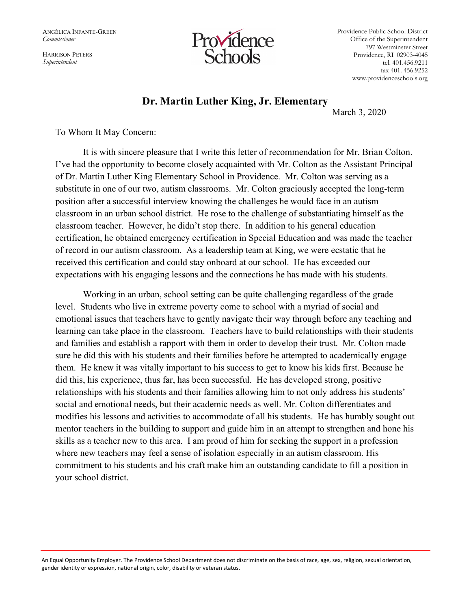ANGÉLICA INFANTE-GREEN Commissioner

HARRISON PETERS Superintendent



Providence Public School District Office of the Superintendent 797 Westminster Street Providence, RI 02903-4045 tel. 401.456.9211 fax 401. 456.9252 www.providenceschools.org

## Dr. Martin Luther King, Jr. Elementary

March 3, 2020

To Whom It May Concern:

It is with sincere pleasure that I write this letter of recommendation for Mr. Brian Colton. I've had the opportunity to become closely acquainted with Mr. Colton as the Assistant Principal of Dr. Martin Luther King Elementary School in Providence. Mr. Colton was serving as a substitute in one of our two, autism classrooms. Mr. Colton graciously accepted the long-term position after a successful interview knowing the challenges he would face in an autism classroom in an urban school district. He rose to the challenge of substantiating himself as the classroom teacher. However, he didn't stop there. In addition to his general education certification, he obtained emergency certification in Special Education and was made the teacher of record in our autism classroom. As a leadership team at King, we were ecstatic that he received this certification and could stay onboard at our school. He has exceeded our expectations with his engaging lessons and the connections he has made with his students.

Working in an urban, school setting can be quite challenging regardless of the grade level. Students who live in extreme poverty come to school with a myriad of social and emotional issues that teachers have to gently navigate their way through before any teaching and learning can take place in the classroom. Teachers have to build relationships with their students and families and establish a rapport with them in order to develop their trust. Mr. Colton made sure he did this with his students and their families before he attempted to academically engage them. He knew it was vitally important to his success to get to know his kids first. Because he did this, his experience, thus far, has been successful. He has developed strong, positive relationships with his students and their families allowing him to not only address his students' social and emotional needs, but their academic needs as well. Mr. Colton differentiates and modifies his lessons and activities to accommodate of all his students. He has humbly sought out mentor teachers in the building to support and guide him in an attempt to strengthen and hone his skills as a teacher new to this area. I am proud of him for seeking the support in a profession where new teachers may feel a sense of isolation especially in an autism classroom. His commitment to his students and his craft make him an outstanding candidate to fill a position in your school district.

An Equal Opportunity Employer. The Providence School Department does not discriminate on the basis of race, age, sex, religion, sexual orientation, gender identity or expression, national origin, color, disability or veteran status.